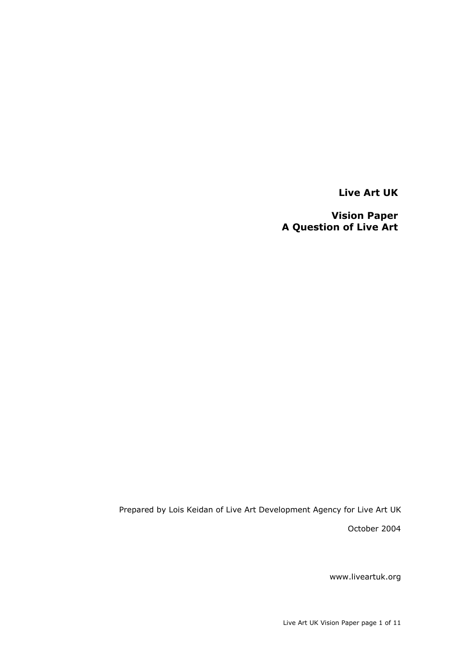**Live Art UK**

**Vision Paper A Question of Live Art**

Prepared by Lois Keidan of Live Art Development Agency for Live Art UK October 2004

www.liveartuk.org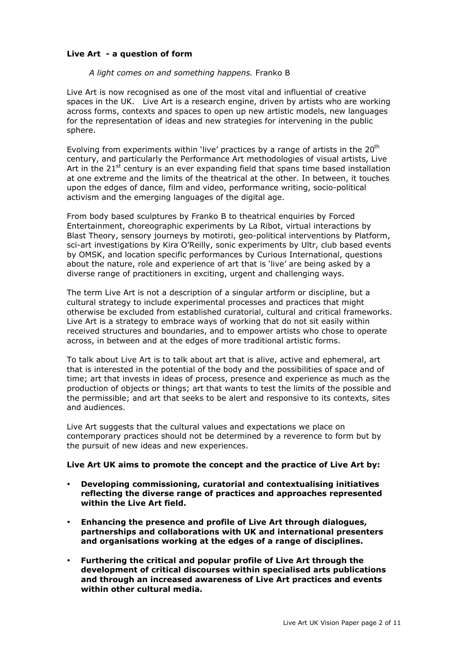# **Live Art - a question of form**

#### *A light comes on and something happens.* Franko B

Live Art is now recognised as one of the most vital and influential of creative spaces in the UK. Live Art is a research engine, driven by artists who are working across forms, contexts and spaces to open up new artistic models, new languages for the representation of ideas and new strategies for intervening in the public sphere.

Evolving from experiments within 'live' practices by a range of artists in the  $20<sup>th</sup>$ century, and particularly the Performance Art methodologies of visual artists, Live Art in the  $21<sup>st</sup>$  century is an ever expanding field that spans time based installation at one extreme and the limits of the theatrical at the other. In between, it touches upon the edges of dance, film and video, performance writing, socio-political activism and the emerging languages of the digital age.

From body based sculptures by Franko B to theatrical enquiries by Forced Entertainment, choreographic experiments by La Ribot, virtual interactions by Blast Theory, sensory journeys by motiroti, geo-political interventions by Platform, sci-art investigations by Kira O'Reilly, sonic experiments by Ultr, club based events by OMSK, and location specific performances by Curious International, questions about the nature, role and experience of art that is 'live' are being asked by a diverse range of practitioners in exciting, urgent and challenging ways.

The term Live Art is not a description of a singular artform or discipline, but a cultural strategy to include experimental processes and practices that might otherwise be excluded from established curatorial, cultural and critical frameworks. Live Art is a strategy to embrace ways of working that do not sit easily within received structures and boundaries, and to empower artists who chose to operate across, in between and at the edges of more traditional artistic forms.

To talk about Live Art is to talk about art that is alive, active and ephemeral, art that is interested in the potential of the body and the possibilities of space and of time; art that invests in ideas of process, presence and experience as much as the production of objects or things; art that wants to test the limits of the possible and the permissible; and art that seeks to be alert and responsive to its contexts, sites and audiences.

Live Art suggests that the cultural values and expectations we place on contemporary practices should not be determined by a reverence to form but by the pursuit of new ideas and new experiences.

#### **Live Art UK aims to promote the concept and the practice of Live Art by:**

**Developing commissioning, curatorial and contextualising initiatives reflecting the diverse range of practices and approaches represented within the Live Art field.**

**Enhancing the presence and profile of Live Art through dialogues, partnerships and collaborations with UK and international presenters and organisations working at the edges of a range of disciplines.**

**Furthering the critical and popular profile of Live Art through the development of critical discourses within specialised arts publications and through an increased awareness of Live Art practices and events within other cultural media.**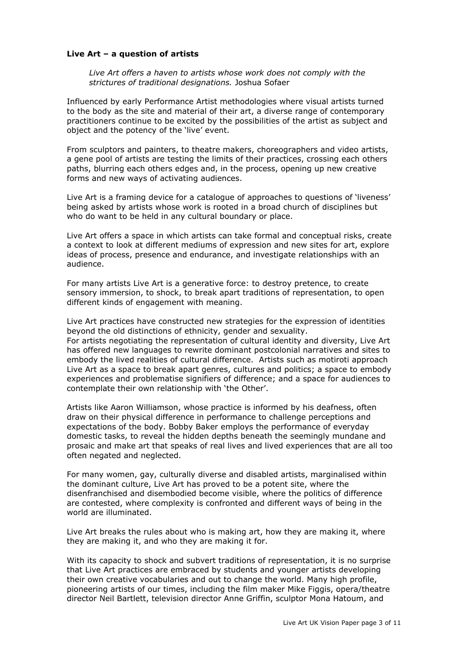#### **Live Art – a question of artists**

*Live Art offers a haven to artists whose work does not comply with the strictures of traditional designations.* Joshua Sofaer

Influenced by early Performance Artist methodologies where visual artists turned to the body as the site and material of their art, a diverse range of contemporary practitioners continue to be excited by the possibilities of the artist as subject and object and the potency of the 'live' event.

From sculptors and painters, to theatre makers, choreographers and video artists, a gene pool of artists are testing the limits of their practices, crossing each others paths, blurring each others edges and, in the process, opening up new creative forms and new ways of activating audiences.

Live Art is a framing device for a catalogue of approaches to questions of 'liveness' being asked by artists whose work is rooted in a broad church of disciplines but who do want to be held in any cultural boundary or place.

Live Art offers a space in which artists can take formal and conceptual risks, create a context to look at different mediums of expression and new sites for art, explore ideas of process, presence and endurance, and investigate relationships with an audience.

For many artists Live Art is a generative force: to destroy pretence, to create sensory immersion, to shock, to break apart traditions of representation, to open different kinds of engagement with meaning.

Live Art practices have constructed new strategies for the expression of identities beyond the old distinctions of ethnicity, gender and sexuality. For artists negotiating the representation of cultural identity and diversity, Live Art has offered new languages to rewrite dominant postcolonial narratives and sites to embody the lived realities of cultural difference. Artists such as motiroti approach Live Art as a space to break apart genres, cultures and politics; a space to embody experiences and problematise signifiers of difference; and a space for audiences to contemplate their own relationship with 'the Other'.

Artists like Aaron Williamson, whose practice is informed by his deafness, often draw on their physical difference in performance to challenge perceptions and expectations of the body. Bobby Baker employs the performance of everyday domestic tasks, to reveal the hidden depths beneath the seemingly mundane and prosaic and make art that speaks of real lives and lived experiences that are all too often negated and neglected.

For many women, gay, culturally diverse and disabled artists, marginalised within the dominant culture, Live Art has proved to be a potent site, where the disenfranchised and disembodied become visible, where the politics of difference are contested, where complexity is confronted and different ways of being in the world are illuminated.

Live Art breaks the rules about who is making art, how they are making it, where they are making it, and who they are making it for.

With its capacity to shock and subvert traditions of representation, it is no surprise that Live Art practices are embraced by students and younger artists developing their own creative vocabularies and out to change the world. Many high profile, pioneering artists of our times, including the film maker Mike Figgis, opera/theatre director Neil Bartlett, television director Anne Griffin, sculptor Mona Hatoum, and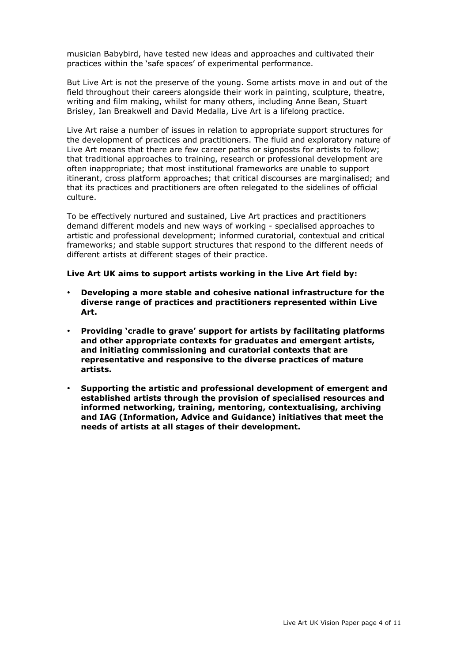musician Babybird, have tested new ideas and approaches and cultivated their practices within the 'safe spaces' of experimental performance.

But Live Art is not the preserve of the young. Some artists move in and out of the field throughout their careers alongside their work in painting, sculpture, theatre, writing and film making, whilst for many others, including Anne Bean, Stuart Brisley, Ian Breakwell and David Medalla, Live Art is a lifelong practice.

Live Art raise a number of issues in relation to appropriate support structures for the development of practices and practitioners. The fluid and exploratory nature of Live Art means that there are few career paths or signposts for artists to follow; that traditional approaches to training, research or professional development are often inappropriate; that most institutional frameworks are unable to support itinerant, cross platform approaches; that critical discourses are marginalised; and that its practices and practitioners are often relegated to the sidelines of official culture.

To be effectively nurtured and sustained, Live Art practices and practitioners demand different models and new ways of working - specialised approaches to artistic and professional development; informed curatorial, contextual and critical frameworks; and stable support structures that respond to the different needs of different artists at different stages of their practice.

#### **Live Art UK aims to support artists working in the Live Art field by:**

**Developing a more stable and cohesive national infrastructure for the diverse range of practices and practitioners represented within Live Art.**

**Providing 'cradle to grave' support for artists by facilitating platforms and other appropriate contexts for graduates and emergent artists, and initiating commissioning and curatorial contexts that are representative and responsive to the diverse practices of mature artists.**

**Supporting the artistic and professional development of emergent and established artists through the provision of specialised resources and informed networking, training, mentoring, contextualising, archiving and IAG (Information, Advice and Guidance) initiatives that meet the needs of artists at all stages of their development.**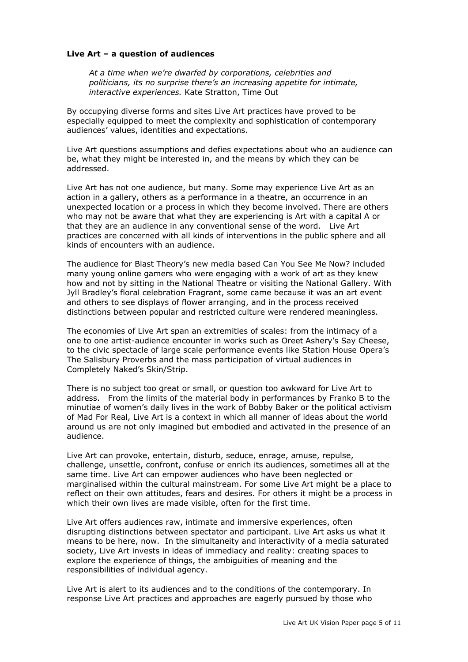## **Live Art – a question of audiences**

*At a time when we're dwarfed by corporations, celebrities and politicians, its no surprise there's an increasing appetite for intimate, interactive experiences.* Kate Stratton, Time Out

By occupying diverse forms and sites Live Art practices have proved to be especially equipped to meet the complexity and sophistication of contemporary audiences' values, identities and expectations.

Live Art questions assumptions and defies expectations about who an audience can be, what they might be interested in, and the means by which they can be addressed.

Live Art has not one audience, but many. Some may experience Live Art as an action in a gallery, others as a performance in a theatre, an occurrence in an unexpected location or a process in which they become involved. There are others who may not be aware that what they are experiencing is Art with a capital A or that they are an audience in any conventional sense of the word. Live Art practices are concerned with all kinds of interventions in the public sphere and all kinds of encounters with an audience.

The audience for Blast Theory's new media based Can You See Me Now? included many young online gamers who were engaging with a work of art as they knew how and not by sitting in the National Theatre or visiting the National Gallery. With Jyll Bradley's floral celebration Fragrant, some came because it was an art event and others to see displays of flower arranging, and in the process received distinctions between popular and restricted culture were rendered meaningless.

The economies of Live Art span an extremities of scales: from the intimacy of a one to one artist-audience encounter in works such as Oreet Ashery's Say Cheese, to the civic spectacle of large scale performance events like Station House Opera's The Salisbury Proverbs and the mass participation of virtual audiences in Completely Naked's Skin/Strip.

There is no subject too great or small, or question too awkward for Live Art to address. From the limits of the material body in performances by Franko B to the minutiae of women's daily lives in the work of Bobby Baker or the political activism of Mad For Real, Live Art is a context in which all manner of ideas about the world around us are not only imagined but embodied and activated in the presence of an audience.

Live Art can provoke, entertain, disturb, seduce, enrage, amuse, repulse, challenge, unsettle, confront, confuse or enrich its audiences, sometimes all at the same time. Live Art can empower audiences who have been neglected or marginalised within the cultural mainstream. For some Live Art might be a place to reflect on their own attitudes, fears and desires. For others it might be a process in which their own lives are made visible, often for the first time.

Live Art offers audiences raw, intimate and immersive experiences, often disrupting distinctions between spectator and participant. Live Art asks us what it means to be here, now. In the simultaneity and interactivity of a media saturated society, Live Art invests in ideas of immediacy and reality: creating spaces to explore the experience of things, the ambiguities of meaning and the responsibilities of individual agency.

Live Art is alert to its audiences and to the conditions of the contemporary. In response Live Art practices and approaches are eagerly pursued by those who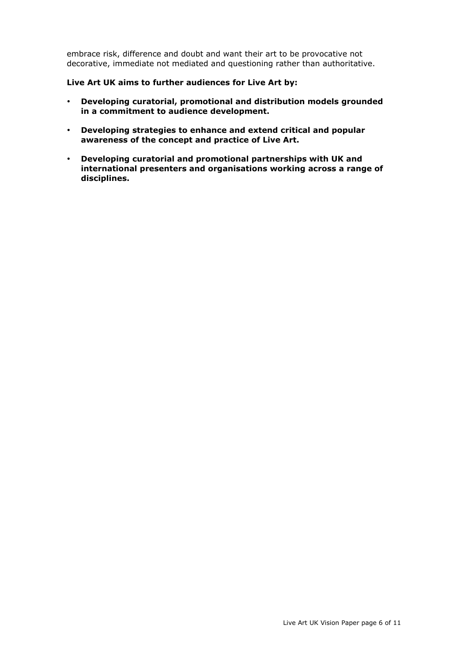embrace risk, difference and doubt and want their art to be provocative not decorative, immediate not mediated and questioning rather than authoritative.

# **Live Art UK aims to further audiences for Live Art by:**

**Developing curatorial, promotional and distribution models grounded in a commitment to audience development.**

**Developing strategies to enhance and extend critical and popular awareness of the concept and practice of Live Art.**

**Developing curatorial and promotional partnerships with UK and international presenters and organisations working across a range of disciplines.**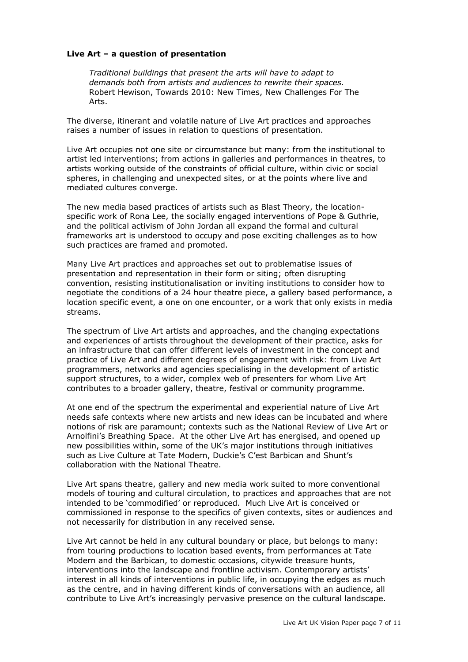## **Live Art – a question of presentation**

*Traditional buildings that present the arts will have to adapt to demands both from artists and audiences to rewrite their spaces.* Robert Hewison, Towards 2010: New Times, New Challenges For The Arts.

The diverse, itinerant and volatile nature of Live Art practices and approaches raises a number of issues in relation to questions of presentation.

Live Art occupies not one site or circumstance but many: from the institutional to artist led interventions; from actions in galleries and performances in theatres, to artists working outside of the constraints of official culture, within civic or social spheres, in challenging and unexpected sites, or at the points where live and mediated cultures converge.

The new media based practices of artists such as Blast Theory, the locationspecific work of Rona Lee, the socially engaged interventions of Pope & Guthrie, and the political activism of John Jordan all expand the formal and cultural frameworks art is understood to occupy and pose exciting challenges as to how such practices are framed and promoted.

Many Live Art practices and approaches set out to problematise issues of presentation and representation in their form or siting; often disrupting convention, resisting institutionalisation or inviting institutions to consider how to negotiate the conditions of a 24 hour theatre piece, a gallery based performance, a location specific event, a one on one encounter, or a work that only exists in media streams.

The spectrum of Live Art artists and approaches, and the changing expectations and experiences of artists throughout the development of their practice, asks for an infrastructure that can offer different levels of investment in the concept and practice of Live Art and different degrees of engagement with risk: from Live Art programmers, networks and agencies specialising in the development of artistic support structures, to a wider, complex web of presenters for whom Live Art contributes to a broader gallery, theatre, festival or community programme.

At one end of the spectrum the experimental and experiential nature of Live Art needs safe contexts where new artists and new ideas can be incubated and where notions of risk are paramount; contexts such as the National Review of Live Art or Arnolfini's Breathing Space. At the other Live Art has energised, and opened up new possibilities within, some of the UK's major institutions through initiatives such as Live Culture at Tate Modern, Duckie's C'est Barbican and Shunt's collaboration with the National Theatre.

Live Art spans theatre, gallery and new media work suited to more conventional models of touring and cultural circulation, to practices and approaches that are not intended to be 'commodified' or reproduced. Much Live Art is conceived or commissioned in response to the specifics of given contexts, sites or audiences and not necessarily for distribution in any received sense.

Live Art cannot be held in any cultural boundary or place, but belongs to many: from touring productions to location based events, from performances at Tate Modern and the Barbican, to domestic occasions, citywide treasure hunts, interventions into the landscape and frontline activism. Contemporary artists' interest in all kinds of interventions in public life, in occupying the edges as much as the centre, and in having different kinds of conversations with an audience, all contribute to Live Art's increasingly pervasive presence on the cultural landscape.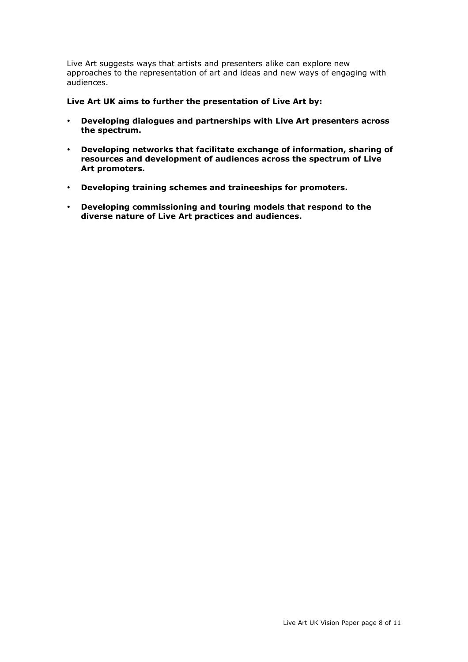Live Art suggests ways that artists and presenters alike can explore new approaches to the representation of art and ideas and new ways of engaging with audiences.

## **Live Art UK aims to further the presentation of Live Art by:**

**Developing dialogues and partnerships with Live Art presenters across the spectrum.**

**Developing networks that facilitate exchange of information, sharing of resources and development of audiences across the spectrum of Live Art promoters.**

**Developing training schemes and traineeships for promoters.**

**Developing commissioning and touring models that respond to the diverse nature of Live Art practices and audiences.**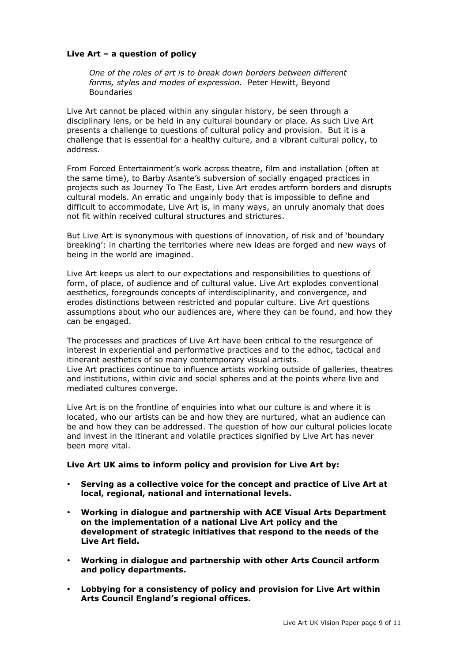# **Live Art – a question of policy**

*One of the roles of art is to break down borders between different forms, styles and modes of expression.* Peter Hewitt, Beyond Boundaries

Live Art cannot be placed within any singular history, be seen through a disciplinary lens, or be held in any cultural boundary or place. As such Live Art presents a challenge to questions of cultural policy and provision. But it is a challenge that is essential for a healthy culture, and a vibrant cultural policy, to address.

From Forced Entertainment's work across theatre, film and installation (often at the same time), to Barby Asante's subversion of socially engaged practices in projects such as Journey To The East, Live Art erodes artform borders and disrupts cultural models. An erratic and ungainly body that is impossible to define and difficult to accommodate, Live Art is, in many ways, an unruly anomaly that does not fit within received cultural structures and strictures.

But Live Art is synonymous with questions of innovation, of risk and of 'boundary breaking': in charting the territories where new ideas are forged and new ways of being in the world are imagined.

Live Art keeps us alert to our expectations and responsibilities to questions of form, of place, of audience and of cultural value. Live Art explodes conventional aesthetics, foregrounds concepts of interdisciplinarity, and convergence, and erodes distinctions between restricted and popular culture. Live Art questions assumptions about who our audiences are, where they can be found, and how they can be engaged.

The processes and practices of Live Art have been critical to the resurgence of interest in experiential and performative practices and to the adhoc, tactical and itinerant aesthetics of so many contemporary visual artists. Live Art practices continue to influence artists working outside of galleries, theatres and institutions, within civic and social spheres and at the points where live and mediated cultures converge.

Live Art is on the frontline of enquiries into what our culture is and where it is located, who our artists can be and how they are nurtured, what an audience can be and how they can be addressed. The question of how our cultural policies locate and invest in the itinerant and volatile practices signified by Live Art has never been more vital.

## **Live Art UK aims to inform policy and provision for Live Art by:**

**Serving as a collective voice for the concept and practice of Live Art at local, regional, national and international levels.**

**Working in dialogue and partnership with ACE Visual Arts Department on the implementation of a national Live Art policy and the development of strategic initiatives that respond to the needs of the Live Art field.**

**Working in dialogue and partnership with other Arts Council artform and policy departments.**

**Lobbying for a consistency of policy and provision for Live Art within Arts Council England's regional offices.**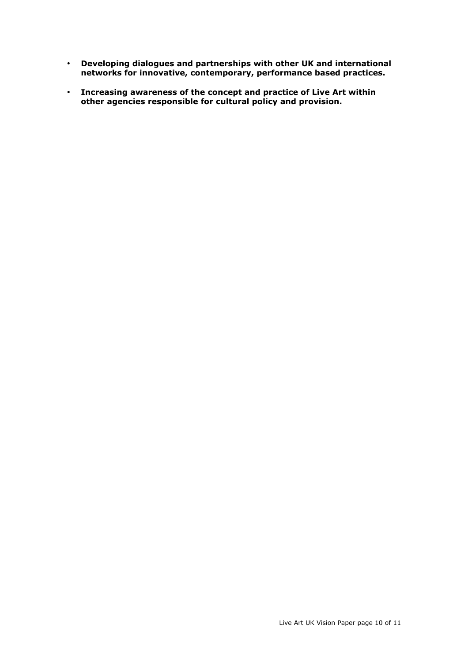**Developing dialogues and partnerships with other UK and international networks for innovative, contemporary, performance based practices.**

**Increasing awareness of the concept and practice of Live Art within other agencies responsible for cultural policy and provision.**